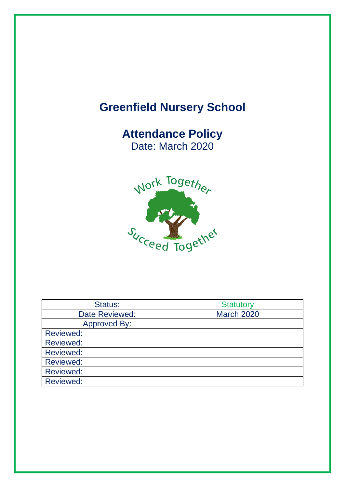# **Greenfield Nursery School**

# **Attendance Policy** Date: March 2020



| Status:             | <b>Statutory</b>  |
|---------------------|-------------------|
| Date Reviewed:      | <b>March 2020</b> |
| <b>Approved By:</b> |                   |
| <b>Reviewed:</b>    |                   |
| <b>Reviewed:</b>    |                   |
| <b>Reviewed:</b>    |                   |
| <b>Reviewed:</b>    |                   |
| <b>Reviewed:</b>    |                   |
| <b>Reviewed:</b>    |                   |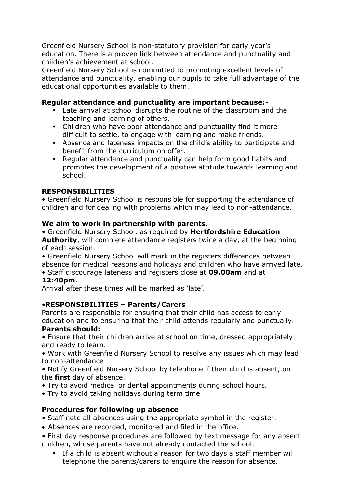Greenfield Nursery School is non-statutory provision for early year's education. There is a proven link between attendance and punctuality and children's achievement at school.

Greenfield Nursery School is committed to promoting excellent levels of attendance and punctuality, enabling our pupils to take full advantage of the educational opportunities available to them.

#### **Regular attendance and punctuality are important because:-**

- Late arrival at school disrupts the routine of the classroom and the teaching and learning of others.
- Children who have poor attendance and punctuality find it more difficult to settle, to engage with learning and make friends.
- Absence and lateness impacts on the child's ability to participate and benefit from the curriculum on offer.
- Regular attendance and punctuality can help form good habits and promotes the development of a positive attitude towards learning and school.

## **RESPONSIBILITIES**

• Greenfield Nursery School is responsible for supporting the attendance of children and for dealing with problems which may lead to non-attendance.

#### **We aim to work in partnership with parents**.

• Greenfield Nursery School, as required by **Hertfordshire Education** 

**Authority**, will complete attendance registers twice a day, at the beginning of each session.

• Greenfield Nursery School will mark in the registers differences between absence for medical reasons and holidays and children who have arrived late.

• Staff discourage lateness and registers close at **09.00am** and at

## **12:40pm**.

Arrival after these times will be marked as 'late'.

#### •**RESPONSIBILITIES – Parents/Carers**

Parents are responsible for ensuring that their child has access to early education and to ensuring that their child attends regularly and punctually.

#### **Parents should:**

• Ensure that their children arrive at school on time, dressed appropriately and ready to learn.

• Work with Greenfield Nursery School to resolve any issues which may lead to non-attendance

• Notify Greenfield Nursery School by telephone if their child is absent, on the **first** day of absence.

- Try to avoid medical or dental appointments during school hours.
- Try to avoid taking holidays during term time

#### **Procedures for following up absence**

• Staff note all absences using the appropriate symbol in the register.

- Absences are recorded, monitored and filed in the office.
- First day response procedures are followed by text message for any absent children, whose parents have not already contacted the school.
	- If a child is absent without a reason for two days a staff member will telephone the parents/carers to enquire the reason for absence.